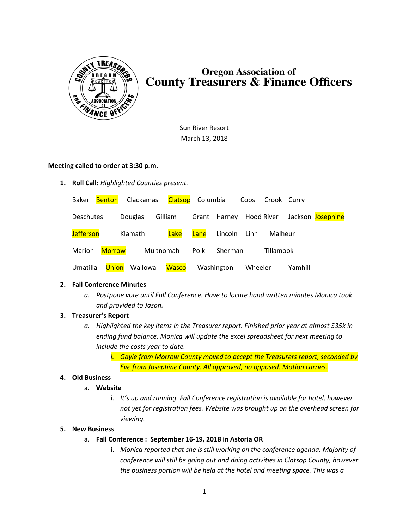

# **Oregon Association of County Treasurers & Finance Officers**

Sun River Resort March 13, 2018

#### **Meeting called to order at 3:30 p.m.**

**1. Roll Call:** *Highlighted Counties present.*

| Baker            |               |                | Benton Clackamas Clatsop Columbia |      |              |         | Coos Crook Curry |         |                                           |
|------------------|---------------|----------------|-----------------------------------|------|--------------|---------|------------------|---------|-------------------------------------------|
| Deschutes        |               | <b>Douglas</b> | Gilliam                           |      |              |         |                  |         | Grant Harney Hood River Jackson Josephine |
| <b>Jefferson</b> |               | Klamath        | Lake                              | Lane | Lincoln Linn |         | Malheur          |         |                                           |
| Marion           | <b>Morrow</b> |                | Multnomah                         | Polk | Sherman      |         | <b>Tillamook</b> |         |                                           |
| Umatilla         | Union         | Wallowa        | <b>Wasco</b>                      |      | Washington   | Wheeler |                  | Yamhill |                                           |

## **2. Fall Conference Minutes**

*a. Postpone vote until Fall Conference. Have to locate hand written minutes Monica took and provided to Jason.*

## **3. Treasurer's Report**

- *a. Highlighted the key items in the Treasurer report. Finished prior year at almost \$35k in ending fund balance. Monica will update the excel spreadsheet for next meeting to include the costs year to date.*
	- *i. Gayle from Morrow County moved to accept the Treasurers report, seconded by Eve from Josephine County. All approved, no opposed. Motion carries.*

## **4. Old Business**

#### a. **Website**

i. *It's up and running. Fall Conference registration is available for hotel, however not yet for registration fees. Website was brought up on the overhead screen for viewing.*

#### **5. New Business**

- a. **Fall Conference : September 16-19, 2018 in Astoria OR**
	- i. *Monica reported that she is still working on the conference agenda. Majority of conference will still be going out and doing activities in Clatsop County, however the business portion will be held at the hotel and meeting space. This was a*